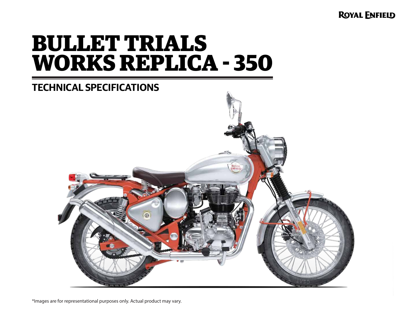**ROYAL ENFIELD** 

# **BULLET TRIALS WORKS REPLICA - 350**

## **TECHNICAL SPECIFICATIONS**



\*Images are for representational purposes only. Actual product may vary.